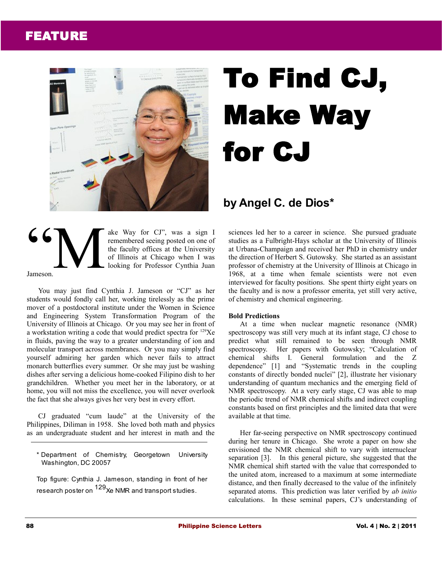# FEATURE



# To Find CJ, Make Way for CJ

## **by Angel C. de Dios\***

### ake Way for CJ", was a sign I remembered seeing posted on one of the faculty offices at the University of Illinois at Chicago when I was looking for Professor Cynthia Juan Jameson. **66** M

You may just find Cynthia J. Jameson or "CJ" as her students would fondly call her, working tirelessly as the prime mover of a postdoctoral institute under the Women in Science and Engineering System Transformation Program of the University of Illinois at Chicago. Or you may see her in front of a workstation writing a code that would predict spectra for  $^{129}Xe$ in fluids, paving the way to a greater understanding of ion and molecular transport across membranes. Or you may simply find yourself admiring her garden which never fails to attract monarch butterflies every summer. Or she may just be washing dishes after serving a delicious home-cooked Filipino dish to her grandchildren. Whether you meet her in the laboratory, or at home, you will not miss the excellence, you will never overlook the fact that she always gives her very best in every effort.

CJ graduated "cum laude" at the University of the Philippines, Diliman in 1958. She loved both math and physics as an undergraduate student and her interest in math and the

\* Department of Chemistry, Georgetown University Washington, DC 20057

Top figure: Cynthia J. Jameson, standing in front of her research poster on <sup>129</sup>Xe NMR and transport studies.

sciences led her to a career in science. She pursued graduate studies as a Fulbright-Hays scholar at the University of Illinois at Urbana-Champaign and received her PhD in chemistry under the direction of Herbert S. Gutowsky. She started as an assistant professor of chemistry at the University of Illinois at Chicago in 1968, at a time when female scientists were not even interviewed for faculty positions. She spent thirty eight years on the faculty and is now a professor emerita, yet still very active, of chemistry and chemical engineering.

## **Bold Predictions**

At a time when nuclear magnetic resonance (NMR) spectroscopy was still very much at its infant stage, CJ chose to predict what still remained to be seen through NMR spectroscopy. Her papers with Gutowsky; "Calculation of chemical shifts I. General formulation and the Z dependence" [1] and "Systematic trends in the coupling constants of directly bonded nuclei" [2], illustrate her visionary understanding of quantum mechanics and the emerging field of NMR spectroscopy. At a very early stage, CJ was able to map the periodic trend of NMR chemical shifts and indirect coupling constants based on first principles and the limited data that were available at that time.

Her far-seeing perspective on NMR spectroscopy continued during her tenure in Chicago. She wrote a paper on how she envisioned the NMR chemical shift to vary with internuclear separation [3]. In this general picture, she suggested that the NMR chemical shift started with the value that corresponded to the united atom, increased to a maximum at some intermediate distance, and then finally decreased to the value of the infinitely separated atoms. This prediction was later verified by *ab initio* calculations. In these seminal papers, CJ's understanding of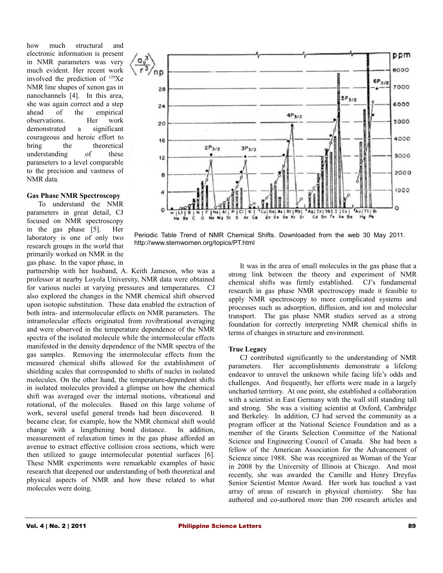how much structural and electronic information is present in NMR parameters was very much evident. Her recent work involved the prediction of <sup>129</sup>Xe NMR line shapes of xenon gas in nanochannels [4]. In this area, she was again correct and a step ahead of the empirical observations. Her work demonstrated a significant courageous and heroic effort to bring the theoretical understanding of these parameters to a level comparable to the precision and vastness of NMR data.

#### **Gas Phase NMR Spectroscopy**

To understand the NMR parameters in great detail, CJ focused on NMR spectroscopy in the gas phase [5]. Her laboratory is one of only two research groups in the world that primarily worked on NMR in the gas phase. In the vapor phase, in

partnership with her husband, A. Keith Jameson, who was a professor at nearby Loyola University, NMR data were obtained for various nuclei at varying pressures and temperatures. CJ also explored the changes in the NMR chemical shift observed upon isotopic substitution. These data enabled the extraction of both intra- and intermolecular effects on NMR parameters. The intramolecular effects originated from rovibrational averaging and were observed in the temperature dependence of the NMR spectra of the isolated molecule while the intermolecular effects manifested in the density dependence of the NMR spectra of the gas samples. Removing the intermolecular effects from the measured chemical shifts allowed for the establishment of shielding scales that corresponded to shifts of nuclei in isolated molecules. On the other hand, the temperature-dependent shifts in isolated molecules provided a glimpse on how the chemical shift was averaged over the internal motions, vibrational and rotational, of the molecules. Based on this large volume of work, several useful general trends had been discovered. It became clear, for example, how the NMR chemical shift would change with a lengthening bond distance. In addition, measurement of relaxation times in the gas phase afforded an avenue to extract effective collision cross sections, which were then utilized to gauge intermolecular potential surfaces [6]. These NMR experiments were remarkable examples of basic research that deepened our understanding of both theoretical and physical aspects of NMR and how these related to what molecules were doing.



Periodic Table Trend of NMR Chemical Shifts. Downloaded from the web 30 May 2011. http://www.stemwomen.org/topics/PT.html

It was in the area of small molecules in the gas phase that a strong link between the theory and experiment of NMR chemical shifts was firmly established. CJ's fundamental research in gas phase NMR spectroscopy made it feasible to apply NMR spectroscopy to more complicated systems and processes such as adsorption, diffusion, and ion and molecular transport. The gas phase NMR studies served as a strong foundation for correctly interpreting NMR chemical shifts in terms of changes in structure and environment.

#### **True Legacy**

CJ contributed significantly to the understanding of NMR parameters. Her accomplishments demonstrate a lifelong endeavor to unravel the unknown while facing life's odds and challenges. And frequently, her efforts were made in a largely uncharted territory. At one point, she established a collaboration with a scientist in East Germany with the wall still standing tall and strong. She was a visiting scientist at Oxford, Cambridge and Berkeley. In addition, CJ had served the community as a program officer at the National Science Foundation and as a member of the Grants Selection Committee of the National Science and Engineering Council of Canada. She had been a fellow of the American Association for the Advancement of Science since 1988. She was recognized as Woman of the Year in 2008 by the University of Illinois at Chicago. And most recently, she was awarded the Camille and Henry Dreyfus Senior Scientist Mentor Award. Her work has touched a vast array of areas of research in physical chemistry. She has authored and co-authored more than 200 research articles and